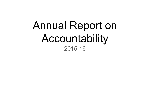# Annual Report on Accountability 2015-16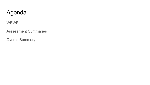#### Agenda

WBWF

Assessment Summaries

Overall Summary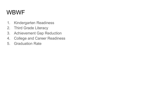#### WBWF

- 1. Kindergarten Readiness
- 2. Third Grade Literacy
- 3. Achievement Gap Reduction
- 4. College and Career Readiness
- 5. Graduation Rate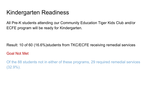#### Kindergarten Readiness

All Pre-K students attending our Community Education Tiger Kids Club and/or ECFE program will be ready for Kindergarten.

Result: 10 of 60 (16.6%)students from TKC/ECFE receiving remedial services

#### Goal Not Met

Of the 88 students not in either of these programs, 29 required remedial services (32.9%).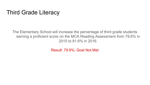#### Third Grade Literacy

The Elementary School will increase the percentage of third grade students earning a proficient score on the MCA Reading Assessment from 79.6% in 2015 to 81.6% in 2016.

Result: 79.9%; Goal Not Met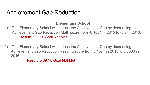#### Achievement Gap Reduction

#### **Elementary School**

- 1) The Elementary School will reduce the Achievement Gap by decreasing the Achievement Gap Reduction Math score from -0.1001 in 2015 to -0.2 in 2016. Result: -0.099; Goal Not Met
- 2) The Elementary School will reduce the Achievement Gap by decreasing the Achievement Gap Reduction Reading score from 0.4574 in 2015 to 0.0000 in 2016.

Result: 0.0974; Goal Not Met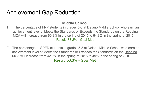#### Achievement Gap Reduction

#### **Middle School**

- 1) The percentage of FRP students in grades 5-8 at Delano Middle School who earn an achievement level of Meets the Standards or Exceeds the Standards on the Reading MCA will increase from 60.3% in the spring of 2015 to 64.3% in the spring of 2016. Result: 73.2% - Goal Met
- 2) The percentage of SPED students in grades 5-8 at Delano Middle School who earn an achievement level of Meets the Standards or Exceeds the Standards on the Reading MCA will increase from 42.9% in the spring of 2015 to 49% in the spring of 2016. Result: 53.3% - Goal Met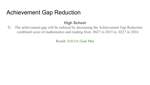#### Achievement Gap Reduction

#### **High School**

1) The achievement gap will be reduced by decreasing the Achievement Gap Reduction combined score of mathematics and reading from .0627 in 2015 to .0227 in 2016.

Result: 0.0114; Goal Met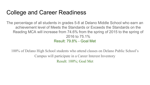#### College and Career Readiness

The percentage of all students in grades 5-8 at Delano Middle School who earn an achievement level of Meets the Standards or Exceeds the Standards on the Reading MCA will increase from 74.6% from the spring of 2015 to the spring of 2016 to 75.1% Result: 79.8% - Goal Met

100% of Delano High School students who attend classes on Delano Public School's Campus will participate in a Career Interest Inventory Result: 100%; Goal Met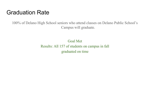#### Graduation Rate

100% of Delano High School seniors who attend classes on Delano Public School's Campus will graduate.

> Goal Met Results: All 157 of students on campus in fall graduated on time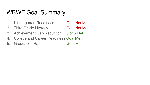#### WBWF Goal Summary

- 1. Kindergarten Readiness **Goal Not Met**
- 2. Third Grade Literacy **Goal Not Met**
- 3. Achievement Gap Reduction 3 of 5 Met
- 4. College and Career Readiness Goal Met
- 5. Graduation Rate Goal Met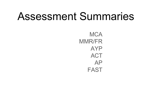# Assessment Summaries

**MCA** MMR/FR AYP **ACT** AP FAST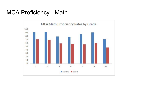#### MCA Proficiency - Math

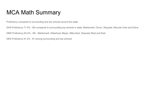### MCA Math Summary

Proficiency compared to surrounding and top schools around the state:

DHS Proficiency 71.4% - 6th compared to surrounding top schools in state: Mahtomedi, Orono, Wayzata, Mounds View and Edina

DMS Proficiency 83.4% - 6th - Mahtomedi, Watertown Mayer, Mtka East, Wayzata West and East

DES Proficiency 91.2% - #1 among surrounding and top schools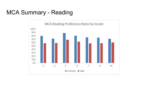### MCA Summary - Reading

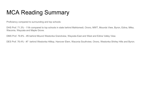### MCA Reading Summary

Proficiency compared to surrounding and top schools:

DHS Prof. 71.3% - 11th compared to top schools in state behind Mahtomedi, Orono, MWT, Mounds View, Byron, Edina, Mtka, Waconia, Wayzata and Maple Grove.

DMS Prof. 79.8% - #5 behind Mound Westonka Grandview, Wayzata East and West and Edina Valley View.

DES Prof. 76.4% - #7 behind Westonka Hilltop, Hanover Elem, Waconia Southview, Orono, Westonka Shirley Hills and Byron.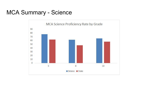#### MCA Summary - Science

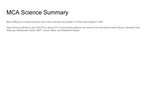### MCA Science Summary

More difficult to compare schools since many districts have grade 5 in Elem and Grade 8 in MS

High School proficiency rate of 64.9% is about #10 in surrounding districts and some of the top districts behind Byron, Mounds View, Wayzata, Mahtomedi, Edina, MWT, Orono, Mtka, and Watertown-Mayer.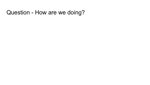#### Question - How are we doing?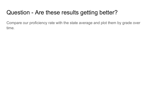### Question - Are these results getting better?

Compare our proficiency rate with the state average and plot them by grade over time.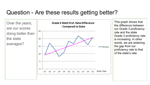#### Question - Are these results getting better?



This graph shows that the difference between our Grade 3 proficiency rate and the state Grade 3 proficiency rate is increasing. In other words, we are widening the gap from our proficiency rate to that of the state's rate.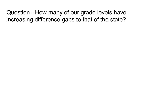Question - How many of our grade levels have increasing difference gaps to that of the state?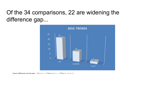### Of the 34 comparisons, 22 are widening the difference gap...



Source: Differences over the years Up is  $r >= -1$  Down is  $r < = -1$  Flast is  $-1 < r < 1$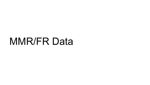# MMR/FR Data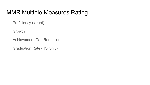#### MMR Multiple Measures Rating

Proficiency (target)

Growth

Achievement Gap Reduction

Graduation Rate (HS Only)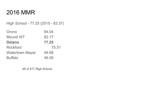#### 2016 MMR

High School - 77.25 (2015 - 83.37)

| Orono                  | 94.04 |
|------------------------|-------|
| Mound WT               | 82.17 |
| <b>Delano</b>          | 77.25 |
| <b>Rockford</b>        | 75.51 |
| <b>Watertown Mayer</b> | 49.98 |
| <b>Buffalo</b>         | 46.08 |

48 of 477 High Schools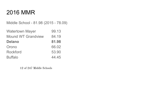#### 2016 MMR

Middle School - 81.98 (2015 - 78.09)

| <b>Watertown Mayer</b>    | 99.13 |
|---------------------------|-------|
| <b>Mound WT Grandview</b> | 84.19 |
| <b>Delano</b>             | 81.98 |
| Orono                     | 66.02 |
| <b>Rockford</b>           | 53.90 |
| <b>Buffalo</b>            | 44.45 |

12 of 247 Middle Schools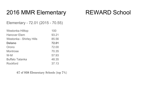#### 2016 MMR Elementary REWARD School

Elementary - 72.01 (2015 - 70.55)

| Westonka Hilltop                | 100   |
|---------------------------------|-------|
| <b>Hanover Elem</b>             | 93.21 |
| <b>Westonka - Shirley Hills</b> | 85.56 |
| <b>Delano</b>                   | 72.01 |
| Orono                           | 72.00 |
| <b>Montrose</b>                 | 70.35 |
| W-M                             | 57.93 |
| <b>Buffalo Tatanka</b>          | 48.35 |
| <b>Rockford</b>                 | 37.13 |

67 of 938 Elementary Schools (top 7%)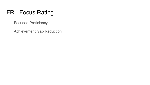### FR - Focus Rating

Focused Proficiency

Achievement Gap Reduction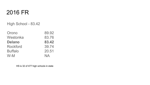#### 2016 FR

High School - 83.42

| Orono           | 89.92     |
|-----------------|-----------|
| Westonka        | 83.76     |
| <b>Delano</b>   | 83.42     |
| <b>Rockford</b> | 39.74     |
| <b>Buffalo</b>  | 20.51     |
| $W-M$           | <b>NA</b> |

HS is 32 of 477 high schools in state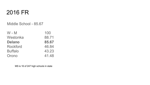#### 2016 FR

Middle School - 85.67

| $W - M$         | 100   |
|-----------------|-------|
| Westonka        | 88.71 |
| <b>Delano</b>   | 85.67 |
| <b>Rockford</b> | 46.84 |
| <b>Buffalo</b>  | 43.23 |
| Orono           | 41.48 |

MS is 16 of 247 high schools in state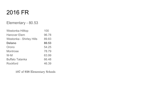#### 2016 FR

#### Elementary - 80.53

| Westonka Hilltop                | 100   |
|---------------------------------|-------|
| <b>Hanover Elem</b>             | 96.78 |
| <b>Westonka - Shirley Hills</b> | 89.83 |
| <b>Delano</b>                   | 80.53 |
| Orono                           | 54.25 |
| Montrose                        | 78.79 |
| W-M                             | 63.99 |
| <b>Buffalo Tatanka</b>          | 66.48 |
| <b>Rockford</b>                 | 46.39 |

107 of 938 Elementary Schools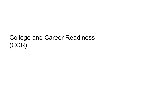### College and Career Readiness (CCR)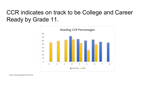### CCR indicates on track to be College and Career Ready by Grade 11.

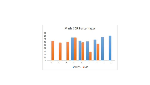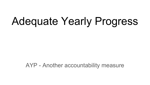# Adequate Yearly Progress

AYP - Another accountability measure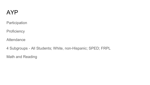#### AYP

**Participation** 

**Proficiency** 

**Attendance** 

4 Subgroups - All Students; White, non-Hispanic; SPED; FRPL

Math and Reading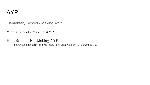#### AYP

Elementary School - Making AYP

Middle School - Making AYP

High School - Not Making AYP

Below the index target in Proficiency in Reading with 80.79 (Target: 83.32)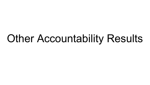# **Other Accountability Results**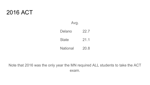#### 2016 ACT

Avg.

Delano 22.7 State 21.1 National 20.8

Note that 2016 was the only year the MN required ALL students to take the ACT exam.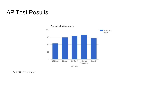#### AP Test Results



#### Percent with 3 or above

AP Class

\*Denotes 1st year of Class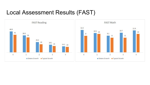#### Local Assessment Results (FAST)

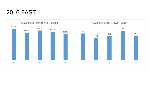#### 2016 FAST

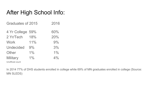### After High School Info:

| Graduates of 2015 |     | 2016 |
|-------------------|-----|------|
| 4 Yr College 59%  |     | 60%  |
| 2 Yr/Tech         | 18% | 20%  |
| <b>Work</b>       | 11% | 9%   |
| <b>Undecided</b>  | 9%  | 3%   |
| Other             | 1%  | 1%   |
| <b>Military</b>   | 1%  | 4%   |
|                   |     |      |

Unofficial count

In 2014 77% of DHS students enrolled in college while 69% of MN graduates enrolled in college (Source: MN SLEDS)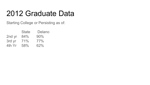## 2012 Graduate Data

Starting College or Persisting as of:

|        | <b>State</b> | Delano |
|--------|--------------|--------|
| 2nd yr | 84%          | 90%    |
| 3rd yr | 71%          | 77%    |
| 4th Yr | 58%          | 62%    |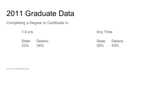## 2011 Graduate Data

Completing a Degree or Certificate in:

| $1-4$ yrs     |              | <b>Any Time</b> |                     |
|---------------|--------------|-----------------|---------------------|
| $32\%$ $34\%$ | State Delano | $38\%$          | State Delano<br>43% |

Data Source: MDE SLEDS website.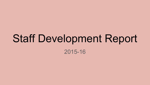# Staff Development Report 2015-16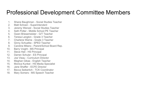#### Professional Development Committee Members

- 1. Shane Baughman Social Studies Teacher
- 2. Matt Schoen Superintendent
- 3. Jeremy Wenzel Social Studies Teacher
- 4. Seth Potter Middle School PE Teacher
- 5. Gwen Briesemeister G/T Teacher
- 6. Teresa Langton Grade 3 Teacher
- 7. Charlene Warne Grade 3 Teacher
- 8. Ginny Schuelke SPED Teacher
- 9. Caroline Milano Parent/School Board Rep.
- 10. Barry Voight MS Principal
- 11. Steve Heil HS Principal
- 12. Darren Schuler ES Principal
- 13. Joe Vieau Curriculum Director
- 14. Meghan Gibas English Teacher
- 15. Monica Kunkel HS Media Specialist
- 16. Jane Shaffer ECFE Director
- 17. Becca Seiberlich TCK Coordinator
- 18. Mary Somers MS Speech Teacher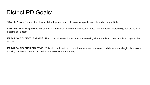#### District PD Goals:

**GOAL 1:** Provide 6 hours of professional development time to discuss an aligned Curriculum Map for pre-K-12.

**FINDINGS:** Time was provided to staff and progress was made on our curriculum maps. We are approximately 95% completed with mapping our classes

**IMPACT ON STUDENT LEARNING:** This process insures that students are receiving all standards and benchmarks throughout the curricula.

**IMPACT ON TEACHER PRACTICE:** This will continue to evolve at the maps are completed and departments begin discussions focusing on the curriculum and their evidence of student learning.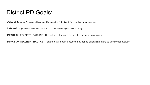#### District PD Goals:

**GOAL 2:** Research Professional Learning Communities (PLC) and Train Collaborative Coaches

**FINDINGS:** A group of teacher attended a PLC conference during the summer. They

**IMPACT ON STUDENT LEARNING:** This will be determined as the PLC model is implemented.

**IMPACT ON TEACHER PRACTICE:** Teachers will begin discussion evidence of learning more as this model evolves.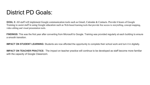#### District PD Goals:

**GOAL 3:** All staff will implement Google communication tools such as Gmail, Calendar & Contacts. Provide 6 hours of Google Training to assist staff in using Google education such as Web-based learning tools that provide free access to storytelling, concept mapping, video editing and visual presentation tools.

FINDINGS: This was the first year after converting from Microsoft to Google. Training was provided regularly at each building to ensure a smooth transition.

**IMPACT ON STUDENT LEARNING:** Students are now afforded the opportunity to complete their school work and turn it in digitally.

**IMPACT ON TEACHER PRACTICE:** The impact on teacher practice will continue to be developed as staff become more familiar with the capacity of Google Classroom.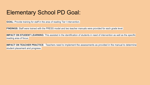#### Elementary School PD Goal:

**GOAL:** Provide training for staff in the area of reading Tier I intervention.

**FINDINGS:** Staff were trained with the PRESS model and two teacher manuals were provided for each grade level.

**IMPACT ON STUDENT LEARNING:** This assisted in the identification of students in need of intervention as well as the specific reading area of focus.

**IMPACT ON TEACHER PRACTICE:** Teachers need to implement the assessments as provided in the manual to determine student placement and progress.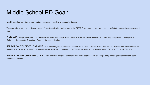#### Middle School PD Goal:

**Goal:** Conduct staff training on reading instruction / reading in the content areas

The goal aligns with the curriculum piece of the strategic plan and supports the SIP/Q Comp goal. It also supports our efforts to reduce the achievement gap.

**FINDINGS:**This goal was met on three occasions - Q Comp sympsosium - Read to Write, Write to Read (January); Q Comp symposium Thinking Maps (February); February Staff Meeting - Reading Strategies flip chart

**IMPACT ON STUDENT LEARNING:** The percentage of all students in grades 5-8 at Delano Middle School who earn an achievement level of Meets the Standards or Exceeds the Standards on the Reading MCA will increase from 74.6% from the spring of 2015 to the spring of 2016 to 75.1% MET 79.18%

**IMPACT ON TEACHER PRACTICE:** As a result of this goal, teachers were more cognoscente of incorporating reading strategies within core academic subjects.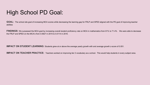#### High School PD Goal:

**GOAL:** The school site goal of increasing MCA scores while decreasing the learning gap for FRLP and SPED aligned with the PD goal of improving teacher abilities

**FINDINGS:** We surpassed the MCA goal by increasing overall student proficiency rate on MCA in mathematics from 61% to 71.4%. We were able to decrease the FRLP and SPED on the MCA's from 0.0627 in 2015 to 0.0114 in 2016.

**IMPACT ON STUDENT LEARNING:** Students grew at or above the average yearly growth with and average growth z-score of 0.051.

**IMPACT ON TEACHER PRACTICE:** Teachers worked on improving tier 2 vocabulary as a school. This would help students in every subject area.